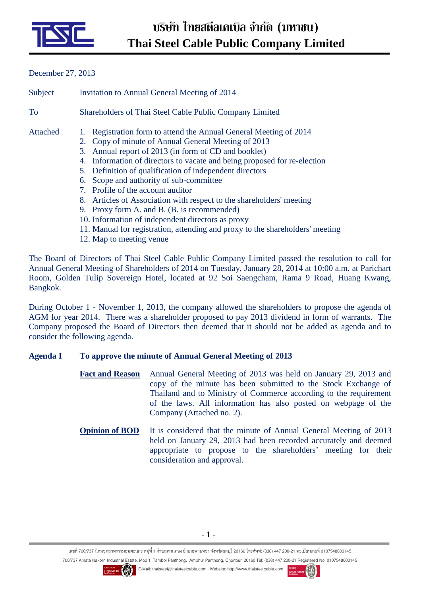

## December 27, 2013

| Subject  | Invitation to Annual General Meeting of 2014                                                                                                                                                                                                                                                                                                                                                                                                                                                                                                                                                                                                                                                     |  |  |
|----------|--------------------------------------------------------------------------------------------------------------------------------------------------------------------------------------------------------------------------------------------------------------------------------------------------------------------------------------------------------------------------------------------------------------------------------------------------------------------------------------------------------------------------------------------------------------------------------------------------------------------------------------------------------------------------------------------------|--|--|
| To       | Shareholders of Thai Steel Cable Public Company Limited                                                                                                                                                                                                                                                                                                                                                                                                                                                                                                                                                                                                                                          |  |  |
| Attached | 1. Registration form to attend the Annual General Meeting of 2014<br>2. Copy of minute of Annual General Meeting of 2013<br>3. Annual report of 2013 (in form of CD and booklet)<br>4. Information of directors to vacate and being proposed for re-election<br>5. Definition of qualification of independent directors<br>6. Scope and authority of sub-committee<br>7. Profile of the account auditor<br>8. Articles of Association with respect to the shareholders' meeting<br>9. Proxy form A. and B. (B. is recommended)<br>10. Information of independent directors as proxy<br>11. Manual for registration, attending and proxy to the shareholders' meeting<br>12. Map to meeting venue |  |  |
|          | The Board of Directors of Thai Steel Cable Public Company Limited passed the resolution to call for<br>$10-1$ $M$ $t$ $01-1$ $11-0.0014$ $T = 1$ $T = 0.00014$ $10.00$ $T = 1$ $T = 1$                                                                                                                                                                                                                                                                                                                                                                                                                                                                                                           |  |  |

Annual General Meeting of Shareholders of 2014 on Tuesday, January 28, 2014 at 10:00 a.m. at Parichart Room, Golden Tulip Sovereign Hotel, located at 92 Soi Saengcham, Rama 9 Road, Huang Kwang, Bangkok.

During October 1 - November 1, 2013, the company allowed the shareholders to propose the agenda of AGM for year 2014. There was a shareholder proposed to pay 2013 dividend in form of warrants. The Company proposed the Board of Directors then deemed that it should not be added as agenda and to consider the following agenda.

# **Agenda I To approve the minute of Annual General Meeting of 2013**

- **Fact and Reason** Annual General Meeting of 2013 was held on January 29, 2013 and copy of the minute has been submitted to the Stock Exchange of Thailand and to Ministry of Commerce according to the requirement of the laws. All information has also posted on webpage of the Company (Attached no. 2).
- **Opinion of BOD** It is considered that the minute of Annual General Meeting of 2013 held on January 29, 2013 had been recorded accurately and deemed appropriate to propose to the shareholders' meeting for their consideration and approval.

เลขที 700/737 นิคมอุตสาหกรรมอมตะนคร หมู่ที 1 ตําบลพานทอง อําเภอพานทอง จังหวัดชลบุรี 20160 โทรศัพท์: (038) 447 200-21 ทะเบียนเลขที 0107548000145



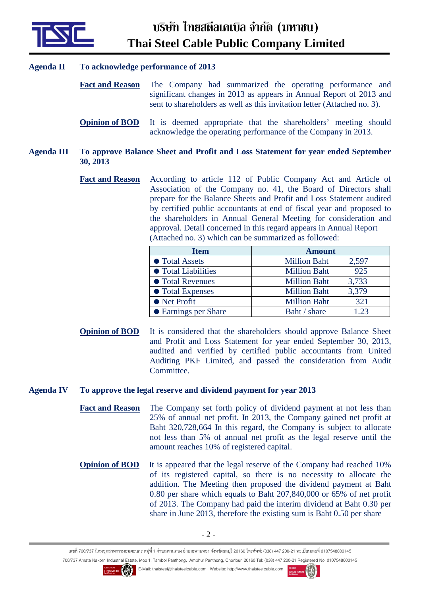

# **Agenda II To acknowledge performance of 2013**

- **Fact and Reason** The Company had summarized the operating performance and significant changes in 2013 as appears in Annual Report of 2013 and sent to shareholders as well as this invitation letter (Attached no. 3).
- **Opinion of BOD** It is deemed appropriate that the shareholders' meeting should acknowledge the operating performance of the Company in 2013.

### **Agenda III To approve Balance Sheet and Profit and Loss Statement for year ended September 30, 2013**

**Fact and Reason** According to article 112 of Public Company Act and Article of Association of the Company no. 41, the Board of Directors shall prepare for the Balance Sheets and Profit and Loss Statement audited by certified public accountants at end of fiscal year and proposed to the shareholders in Annual General Meeting for consideration and approval. Detail concerned in this regard appears in Annual Report (Attached no. 3) which can be summarized as followed:

| <b>Item</b>                | <b>Amount</b>       |       |
|----------------------------|---------------------|-------|
| <b>• Total Assets</b>      | <b>Million Baht</b> | 2,597 |
| <b>• Total Liabilities</b> | <b>Million Baht</b> | 925   |
| <b>• Total Revenues</b>    | <b>Million Baht</b> | 3,733 |
| • Total Expenses           | <b>Million Baht</b> | 3,379 |
| • Net Profit               | <b>Million Baht</b> | 321   |
| • Earnings per Share       | Baht / share        | 1.23  |

**Opinion of BOD** It is considered that the shareholders should approve Balance Sheet and Profit and Loss Statement for year ended September 30, 2013, audited and verified by certified public accountants from United Auditing PKF Limited, and passed the consideration from Audit Committee.

#### **Agenda IV To approve the legal reserve and dividend payment for year 2013**

- **Fact and Reason** The Company set forth policy of dividend payment at not less than 25% of annual net profit. In 2013, the Company gained net profit at Baht 320,728,664 In this regard, the Company is subject to allocate not less than 5% of annual net profit as the legal reserve until the amount reaches 10% of registered capital.
- **Opinion of BOD** It is appeared that the legal reserve of the Company had reached 10% of its registered capital, so there is no necessity to allocate the addition. The Meeting then proposed the dividend payment at Baht 0.80 per share which equals to Baht 207,840,000 or 65% of net profit of 2013. The Company had paid the interim dividend at Baht 0.30 per share in June 2013, therefore the existing sum is Baht 0.50 per share

เลขที 700/737 นิคมอุตสาหกรรมอมตะนคร หมู่ที 1 ตําบลพานทอง อําเภอพานทอง จังหวัดชลบุรี 20160 โทรศัพท์: (038) 447 200-21 ทะเบียนเลขที 0107548000145



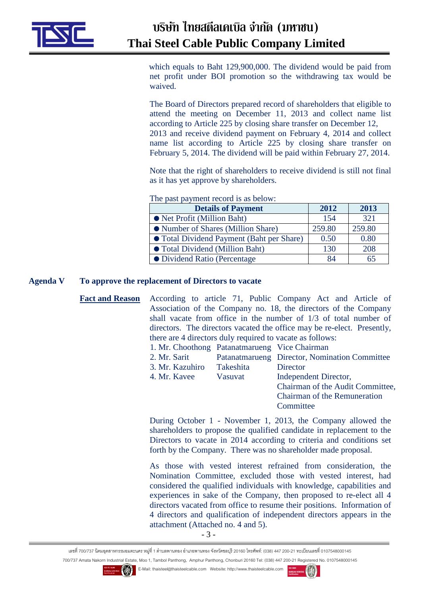

 which equals to Baht 129,900,000. The dividend would be paid from net profit under BOI promotion so the withdrawing tax would be waived.

The Board of Directors prepared record of shareholders that eligible to attend the meeting on December 11, 2013 and collect name list according to Article 225 by closing share transfer on December 12, 2013 and receive dividend payment on February 4, 2014 and collect name list according to Article 225 by closing share transfer on February 5, 2014. The dividend will be paid within February 27, 2014.

Note that the right of shareholders to receive dividend is still not final as it has yet approve by shareholders.

The past payment record is as below:

| <b>Details of Payment</b>                 | 2012   | 2013   |
|-------------------------------------------|--------|--------|
| • Net Profit (Million Baht)               | 154    | 321    |
| • Number of Shares (Million Share)        | 259.80 | 259.80 |
| • Total Dividend Payment (Baht per Share) | 0.50   | 0.80   |
| • Total Dividend (Million Baht)           | 130    | 208    |
| • Dividend Ratio (Percentage              | 84     |        |

#### **Agenda V To approve the replacement of Directors to vacate**

**Fact and Reason** According to article 71, Public Company Act and Article of Association of the Company no. 18, the directors of the Company shall vacate from office in the number of 1/3 of total number of directors. The directors vacated the office may be re-elect. Presently, there are 4 directors duly required to vacate as follows:

| 1. Mr. Choothong Patanatmarueng Vice Chairman |           |                                               |
|-----------------------------------------------|-----------|-----------------------------------------------|
| 2. Mr. Sarit                                  |           | Patanatmarueng Director, Nomination Committee |
| 3. Mr. Kazuhiro                               | Takeshita | Director                                      |
| 4. Mr. Kavee                                  | Vasuvat   | Independent Director,                         |
|                                               |           | Chairman of the Audit Committee,              |
|                                               |           | <b>Chairman of the Remuneration</b>           |

During October 1 - November 1, 2013, the Company allowed the shareholders to propose the qualified candidate in replacement to the Directors to vacate in 2014 according to criteria and conditions set forth by the Company. There was no shareholder made proposal.

**Committee** 

As those with vested interest refrained from consideration, the Nomination Committee, excluded those with vested interest, had considered the qualified individuals with knowledge, capabilities and experiences in sake of the Company, then proposed to re-elect all 4 directors vacated from office to resume their positions. Information of 4 directors and qualification of independent directors appears in the attachment (Attached no. 4 and 5).

- 3 -

เลขที 700/737 นิคมอุตสาหกรรมอมตะนคร หมู่ที 1 ตําบลพานทอง อําเภอพานทอง จังหวัดชลบุรี 20160 โทรศัพท์: (038) 447 200-21 ทะเบียนเลขที 0107548000145



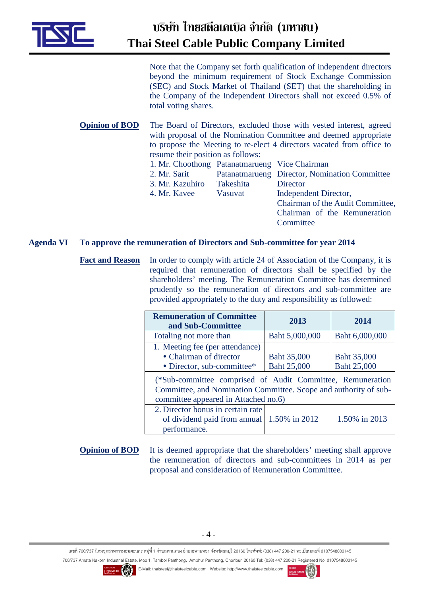

Note that the Company set forth qualification of independent directors beyond the minimum requirement of Stock Exchange Commission (SEC) and Stock Market of Thailand (SET) that the shareholding in the Company of the Independent Directors shall not exceed 0.5% of total voting shares.

**Opinion of BOD** The Board of Directors, excluded those with vested interest, agreed with proposal of the Nomination Committee and deemed appropriate to propose the Meeting to re-elect 4 directors vacated from office to resume their position as follows: 1. Mr. Choothong Patanatmarueng Vice Chairman 2. Mr. Sarit Patanatmarueng Director, Nomination Committee 3. Mr. Kazuhiro Takeshita Director

4. Mr. Kavee Vasuvat Independent Director, Chairman of the Audit Committee, Chairman of the Remuneration **Committee** 

## **Agenda VI To approve the remuneration of Directors and Sub-committee for year 2014**

Fact and Reason In order to comply with article 24 of Association of the Company, it is required that remuneration of directors shall be specified by the shareholders' meeting. The Remuneration Committee has determined prudently so the remuneration of directors and sub-committee are provided appropriately to the duty and responsibility as followed:

| <b>Remuneration of Committee</b><br>and Sub-Committee                                                                                                                  | 2013                              | 2014                       |  |
|------------------------------------------------------------------------------------------------------------------------------------------------------------------------|-----------------------------------|----------------------------|--|
| Totaling not more than                                                                                                                                                 | Baht 5,000,000                    | Baht 6,000,000             |  |
| 1. Meeting fee (per attendance)<br>• Chairman of director<br>• Director, sub-committee*                                                                                | Baht 35,000<br><b>Baht 25,000</b> | Baht 35,000<br>Baht 25,000 |  |
| (*Sub-committee comprised of Audit Committee, Remuneration<br>Committee, and Nomination Committee. Scope and authority of sub-<br>committee appeared in Attached no.6) |                                   |                            |  |
| 2. Director bonus in certain rate<br>of dividend paid from annual   1.50% in 2012<br>performance.                                                                      |                                   | 1.50% in 2013              |  |

**Opinion of BOD** It is deemed appropriate that the shareholders' meeting shall approve the remuneration of directors and sub-committees in 2014 as per proposal and consideration of Remuneration Committee.

เลขที 700/737 นิคมอุตสาหกรรมอมตะนคร หมู่ที 1 ตําบลพานทอง อําเภอพานทอง จังหวัดชลบุรี 20160 โทรศัพท์: (038) 447 200-21 ทะเบียนเลขที 0107548000145



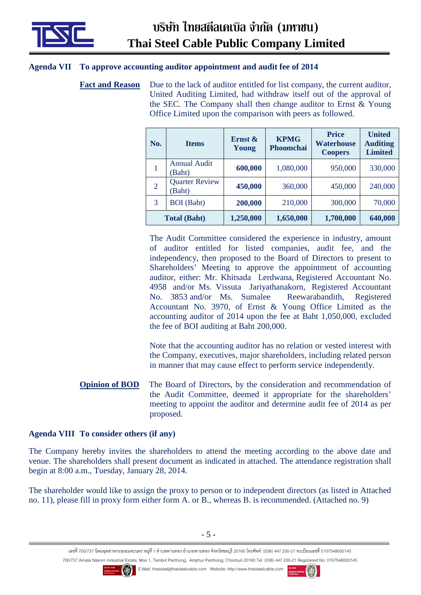

# **Agenda VII To approve accounting auditor appointment and audit fee of 2014**

Fact and Reason Due to the lack of auditor entitled for list company, the current auditor, United Auditing Limited, had withdraw itself out of the approval of the SEC. The Company shall then change auditor to Ernst & Young Office Limited upon the comparison with peers as followed.

| No.                 | <b>Items</b>                    | Ernst $\&$<br>Young | <b>KPMG</b><br>Phoomchai | <b>Price</b><br>Waterhouse<br><b>Coopers</b> | <b>United</b><br><b>Auditing</b><br><b>Limited</b> |
|---------------------|---------------------------------|---------------------|--------------------------|----------------------------------------------|----------------------------------------------------|
| $\mathbf{1}$        | <b>Annual Audit</b><br>(Baht)   | 600,000             | 1,080,000                | 950,000                                      | 330,000                                            |
| $\overline{2}$      | <b>Quarter Review</b><br>(Baht) | 450,000             | 360,000                  | 450,000                                      | 240,000                                            |
| 3                   | <b>BOI</b> (Baht)               | 200,000             | 210,000                  | 300,000                                      | 70,000                                             |
| <b>Total (Baht)</b> |                                 | 1,250,000           | 1,650,000                | 1,700,000                                    | 640,000                                            |

 The Audit Committee considered the experience in industry, amount of auditor entitled for listed companies, audit fee, and the independency, then proposed to the Board of Directors to present to Shareholders' Meeting to approve the appointment of accounting auditor, either: Mr. Khitsada Lerdwana, Registered Accountant No. 4958 and/or Ms. Vissuta Jariyathanakorn, Registered Accountant No. 3853 and/or Ms. Sumalee Reewarabandith, Registered Accountant No. 3970, of Ernst & Young Office Limited as the accounting auditor of 2014 upon the fee at Baht 1,050,000, excluded the fee of BOI auditing at Baht 200,000.

Note that the accounting auditor has no relation or vested interest with the Company, executives, major shareholders, including related person in manner that may cause effect to perform service independently.

**Opinion of BOD** The Board of Directors, by the consideration and recommendation of the Audit Committee, deemed it appropriate for the shareholders' meeting to appoint the auditor and determine audit fee of 2014 as per proposed.

# **Agenda VIII To consider others (if any)**

The Company hereby invites the shareholders to attend the meeting according to the above date and venue. The shareholders shall present document as indicated in attached. The attendance registration shall begin at 8:00 a.m., Tuesday, January 28, 2014.

The shareholder would like to assign the proxy to person or to independent directors (as listed in Attached no. 11), please fill in proxy form either form A. or B., whereas B. is recommended. (Attached no. 9)

เลขที 700/737 นิคมอุตสาหกรรมอมตะนคร หมู่ที 1 ตําบลพานทอง อําเภอพานทอง จังหวัดชลบุรี 20160 โทรศัพท์: (038) 447 200-21 ทะเบียนเลขที 0107548000145 700/737 Amata Nakorn Industrial Estate, Moo 1, Tambol Panthong, Amphur Panthong, Chonburi 20160 Tel: (038) 447 200-21 Registered No. 0107548000145